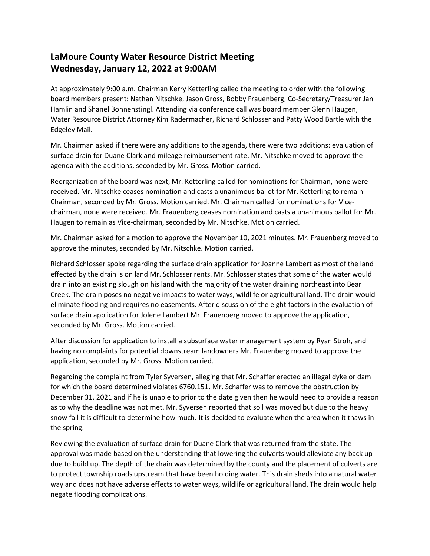## **LaMoure County Water Resource District Meeting Wednesday, January 12, 2022 at 9:00AM**

At approximately 9:00 a.m. Chairman Kerry Ketterling called the meeting to order with the following board members present: Nathan Nitschke, Jason Gross, Bobby Frauenberg, Co-Secretary/Treasurer Jan Hamlin and Shanel Bohnenstingl. Attending via conference call was board member Glenn Haugen, Water Resource District Attorney Kim Radermacher, Richard Schlosser and Patty Wood Bartle with the Edgeley Mail.

Mr. Chairman asked if there were any additions to the agenda, there were two additions: evaluation of surface drain for Duane Clark and mileage reimbursement rate. Mr. Nitschke moved to approve the agenda with the additions, seconded by Mr. Gross. Motion carried.

Reorganization of the board was next, Mr. Ketterling called for nominations for Chairman, none were received. Mr. Nitschke ceases nomination and casts a unanimous ballot for Mr. Ketterling to remain Chairman, seconded by Mr. Gross. Motion carried. Mr. Chairman called for nominations for Vicechairman, none were received. Mr. Frauenberg ceases nomination and casts a unanimous ballot for Mr. Haugen to remain as Vice-chairman, seconded by Mr. Nitschke. Motion carried.

Mr. Chairman asked for a motion to approve the November 10, 2021 minutes. Mr. Frauenberg moved to approve the minutes, seconded by Mr. Nitschke. Motion carried.

Richard Schlosser spoke regarding the surface drain application for Joanne Lambert as most of the land effected by the drain is on land Mr. Schlosser rents. Mr. Schlosser states that some of the water would drain into an existing slough on his land with the majority of the water draining northeast into Bear Creek. The drain poses no negative impacts to water ways, wildlife or agricultural land. The drain would eliminate flooding and requires no easements. After discussion of the eight factors in the evaluation of surface drain application for Jolene Lambert Mr. Frauenberg moved to approve the application, seconded by Mr. Gross. Motion carried.

After discussion for application to install a subsurface water management system by Ryan Stroh, and having no complaints for potential downstream landowners Mr. Frauenberg moved to approve the application, seconded by Mr. Gross. Motion carried.

Regarding the complaint from Tyler Syversen, alleging that Mr. Schaffer erected an illegal dyke or dam for which the board determined violates 6760.151. Mr. Schaffer was to remove the obstruction by December 31, 2021 and if he is unable to prior to the date given then he would need to provide a reason as to why the deadline was not met. Mr. Syversen reported that soil was moved but due to the heavy snow fall it is difficult to determine how much. It is decided to evaluate when the area when it thaws in the spring.

Reviewing the evaluation of surface drain for Duane Clark that was returned from the state. The approval was made based on the understanding that lowering the culverts would alleviate any back up due to build up. The depth of the drain was determined by the county and the placement of culverts are to protect township roads upstream that have been holding water. This drain sheds into a natural water way and does not have adverse effects to water ways, wildlife or agricultural land. The drain would help negate flooding complications.